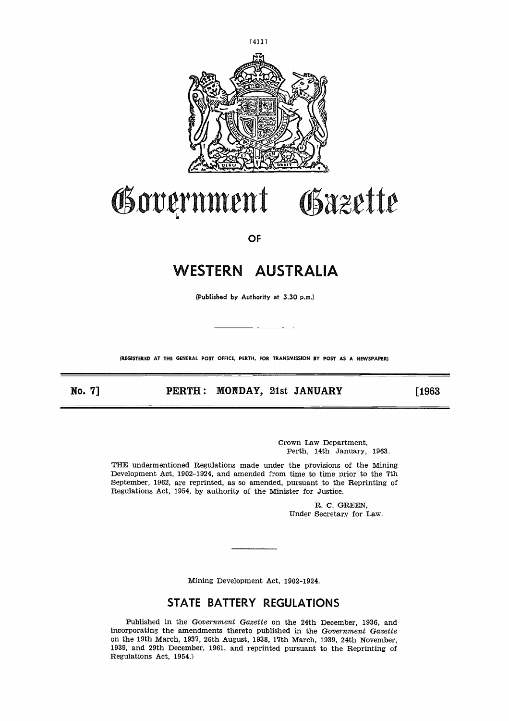

# Government Gazette

**OF**

# **WESTERN AUSTRALIA** WESTERN AUSTRALIA<br>
(Published by Authority at 3.30 p.m.)<br>
AREGISTERED AT THE GENERAL POST OFFICE, PERTH, FOR TRANSMISSION BY POST A<br>
NO. 7] PERTH : MONDAY, 21st JANUARY

(Published by Authority at 3.30 p.m.)

**(REGISTERED AT THE GENERAL POST OFFICE, PERTH, FOR TRANSMISSION BY POST AS A NEWSPAPER)**

[1963]

Crown Law Department, Perth, 14th January, 1963.

THE undermentioned Regulations made under the provisions of the Mining Development Act, 1902-1924, and amended from time to time prior to the 7th September, 1962, are reprinted, as so amended, pursuant to the Reprinting of Regulations Act, 1954, by authority of the Minister for Justice.

> R. C. GREEN, Under Secretary for Law.

Mining Development Act, 1902-1924.

# **STATE BATTERY REGULATIONS**

Published in the Government *Gazette* on the 24th December, 1936, and incorporating the amendments thereto published in the *Government Gazette* on the 19th March, 1937, 26th August, 1938, 17th March, 1939, 24th November, 1939, and 29th December, 1961, and reprinted pursuant to the Reprinting of Regulations Act, 1954.)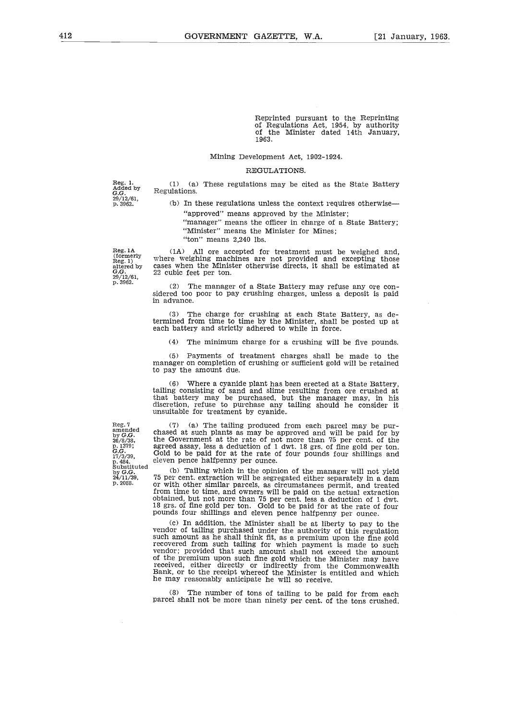Reprinted pursuant to the Reprinting of Regulations Act, 1954, by authority of the Minister dated 14th January, 1963.

## Mining Development Act, 1902-1924.

### REGULATIONS.

Reg. 1. Added by G.G. 29/12/61, p. 3962.

(1) (a) These regulations may be cited as the State Battery Regulations.

(b) In these regulations unless the context requires otherwise "approved" means approved by the Minister;

"manager" means the officer in charge of a State Battery;

"Minister" means the Minister for Mines; "ton" means 2,240 lbs.

Reg. lA (formerly Reg. 1) altered by *G.G.* 29/12/61, p. 3962.

Reg. 7 amended by *G.G.* 26/8/38, p. 1379; *G.G.* 17/3/39,

p. 484. Substituted by G.G. 24/11/39, p. 2088.

(1A) All ore accepted for treatment must be weighed and, where weighing machines are not provided and excepting those cases when the Minister otherwise directs, it shall be estimated at 22 cubic feet per ton.

The manager of a State Battery may refuse any ore considered too poor to pay crushing charges, unless a deposit is paid in advance.

(3) The charge for crushing at each State Battery, as de-termined from time to time by the Minister, shall be posted up at each battery and strictly adhered to while in force.

(4) The minimum charge for a crushing will be five pounds.

(5) Payments of treatment charges shall be made to the manager on completion of crushing or sufficient gold will be retained to pay the amount due.

(6) Where a cyanide plant has been erected at a State Battery, tailing consisting of sand and slime resulting from ore crushed at that battery may be purchased, but the manager may, in his discretion, refuse to purchase any tailing should he consider it unsuitable for treatment by cyanide.

(7) (a) The tailing produced from each parcel may be purchased at such plants as may be approved and will be paid for by the Government at the rate of not more than 75 per cent. of the agreed assay, less a deduction of 1 dwt. 18 grs. of fine gold per ton. Gold to be paid for at the rate of four pounds four shillings and eleven pence halfpenny per ounce.

(b) Tailing which in the opinion of the manager will not yield 75 per cent. extraction will be segregated either separately in a dam or with other similar parcels, as circumstances permit, and treated from time to time, and owners will be paid on the actual extraction obtained, but not more than 75 per cent. less a deduction of 1 dwt. 18 grs.. of fine gold per ton. Gold to be paid for at the rate of four pounds four shillings and eleven pence halfpenny per ounce.

(c) In addition, the Minister shall be at liberty to pay to the vendor of tailing purchased under the authority of this regulation such amount as he shall think fit, as a premium upon the fine gold recovered from such tailing for which payment is made to such vendor; provided that such amount shall not exceed the amount of the premium upon such fine gold which the Minister may have received, either directly or indirectly from the Commonwealth Bank, or to the receipt whereof the Minister is entitled and which he may reasonably anticipate he will so receive.

(8) The number of tons of tailing to be paid for from each parcel shall not be more than ninety per cent. of the tons crushed.